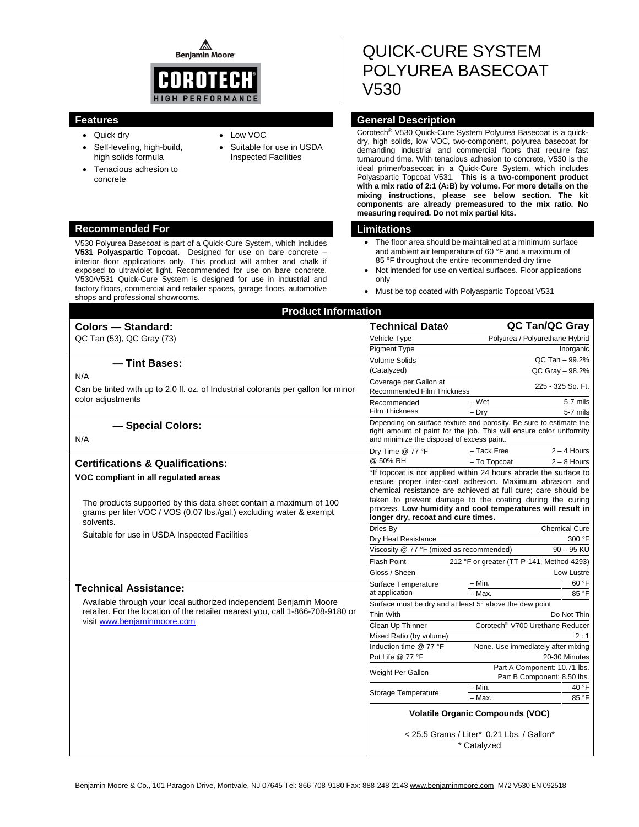⚠ **Benjamin Moore** 



- Quick dry
- Self-leveling, high-build, high solids formula
- Tenacious adhesion to concrete
- Suitable for use in USDA Inspected Facilities

Low VOC

# **Recommended For Limitations**

V530 Polyurea Basecoat is part of a Quick-Cure System, which includes **V531 Polyaspartic Topcoat.** Designed for use on bare concrete – interior floor applications only. This product will amber and chalk if exposed to ultraviolet light. Recommended for use on bare concrete. V530/V531 Quick-Cure System is designed for use in industrial and factory floors, commercial and retailer spaces, garage floors, automotive shops and professional showrooms.

# QUICK-CURE SYSTEM POLYUREA BASECOAT V530

# **Features General Description**

Corotech® V530 Quick-Cure System Polyurea Basecoat is a quickdry, high solids, low VOC, two-component, polyurea basecoat for demanding industrial and commercial floors that require fast turnaround time. With tenacious adhesion to concrete, V530 is the ideal primer/basecoat in a Quick-Cure System, which includes Polyaspartic Topcoat V531. **This is a two-component product with a mix ratio of 2:1 (A:B) by volume. For more details on the mixing instructions, please see below section. The kit components are already premeasured to the mix ratio. No measuring required. Do not mix partial kits.**

- The floor area should be maintained at a minimum surface and ambient air temperature of 60 °F and a maximum of 85 °F throughout the entire recommended dry time
- Not intended for use on vertical surfaces. Floor applications only
- Must be top coated with Polyaspartic Topcoat V531

| <b>Product Information</b>                                                                                                                                                                                                                      |                                                                                                                                                                                                                                                                                                                                                              |                                                             |
|-------------------------------------------------------------------------------------------------------------------------------------------------------------------------------------------------------------------------------------------------|--------------------------------------------------------------------------------------------------------------------------------------------------------------------------------------------------------------------------------------------------------------------------------------------------------------------------------------------------------------|-------------------------------------------------------------|
| <b>Colors - Standard:</b>                                                                                                                                                                                                                       | Technical Data◊                                                                                                                                                                                                                                                                                                                                              | QC Tan/QC Gray                                              |
| QC Tan (53), QC Gray (73)                                                                                                                                                                                                                       | Vehicle Type                                                                                                                                                                                                                                                                                                                                                 | Polyurea / Polyurethane Hybrid                              |
|                                                                                                                                                                                                                                                 | Pigment Type                                                                                                                                                                                                                                                                                                                                                 | Inorganic                                                   |
| - Tint Bases:                                                                                                                                                                                                                                   | <b>Volume Solids</b>                                                                                                                                                                                                                                                                                                                                         | QC Tan - 99.2%                                              |
| N/A<br>Can be tinted with up to 2.0 fl. oz. of Industrial colorants per gallon for minor<br>color adjustments                                                                                                                                   | (Catalyzed)                                                                                                                                                                                                                                                                                                                                                  | QC Gray - 98.2%                                             |
|                                                                                                                                                                                                                                                 | Coverage per Gallon at<br>Recommended Film Thickness                                                                                                                                                                                                                                                                                                         | 225 - 325 Sq. Ft.                                           |
|                                                                                                                                                                                                                                                 | Recommended                                                                                                                                                                                                                                                                                                                                                  | $-Wet$<br>5-7 mils                                          |
|                                                                                                                                                                                                                                                 | <b>Film Thickness</b>                                                                                                                                                                                                                                                                                                                                        | $-$ Drv<br>5-7 mils                                         |
| - Special Colors:<br>N/A                                                                                                                                                                                                                        | Depending on surface texture and porosity. Be sure to estimate the<br>right amount of paint for the job. This will ensure color uniformity<br>and minimize the disposal of excess paint.                                                                                                                                                                     |                                                             |
|                                                                                                                                                                                                                                                 | Dry Time @ 77 °F                                                                                                                                                                                                                                                                                                                                             | - Tack Free<br>$2 - 4$ Hours                                |
| <b>Certifications &amp; Qualifications:</b>                                                                                                                                                                                                     | @ 50% RH                                                                                                                                                                                                                                                                                                                                                     | - To Topcoat<br>$2 - 8$ Hours                               |
| VOC compliant in all regulated areas<br>The products supported by this data sheet contain a maximum of 100<br>grams per liter VOC / VOS (0.07 lbs./gal.) excluding water & exempt<br>solvents.<br>Suitable for use in USDA Inspected Facilities | *If topcoat is not applied within 24 hours abrade the surface to<br>ensure proper inter-coat adhesion. Maximum abrasion and<br>chemical resistance are achieved at full cure; care should be<br>taken to prevent damage to the coating during the curing<br>process. Low humidity and cool temperatures will result in<br>longer dry, recoat and cure times. |                                                             |
|                                                                                                                                                                                                                                                 | Dries By                                                                                                                                                                                                                                                                                                                                                     | <b>Chemical Cure</b>                                        |
|                                                                                                                                                                                                                                                 | Dry Heat Resistance                                                                                                                                                                                                                                                                                                                                          | 300 °F                                                      |
|                                                                                                                                                                                                                                                 | $90 - 95$ KU<br>Viscosity @ 77 °F (mixed as recommended)                                                                                                                                                                                                                                                                                                     |                                                             |
|                                                                                                                                                                                                                                                 | <b>Flash Point</b>                                                                                                                                                                                                                                                                                                                                           | 212 °F or greater (TT-P-141, Method 4293)                   |
|                                                                                                                                                                                                                                                 | Gloss / Sheen                                                                                                                                                                                                                                                                                                                                                | Low Lustre                                                  |
| <b>Technical Assistance:</b>                                                                                                                                                                                                                    | Surface Temperature                                                                                                                                                                                                                                                                                                                                          | $- Min.$<br>60 °F                                           |
|                                                                                                                                                                                                                                                 | at application                                                                                                                                                                                                                                                                                                                                               | - Max.<br>85 °F                                             |
| Available through your local authorized independent Benjamin Moore<br>retailer. For the location of the retailer nearest you, call 1-866-708-9180 or<br>visit www.benjaminmoore.com                                                             |                                                                                                                                                                                                                                                                                                                                                              | Surface must be dry and at least 5° above the dew point     |
|                                                                                                                                                                                                                                                 | Thin With                                                                                                                                                                                                                                                                                                                                                    | Do Not Thin                                                 |
|                                                                                                                                                                                                                                                 | Clean Up Thinner<br>Mixed Ratio (by volume)                                                                                                                                                                                                                                                                                                                  | Corotech <sup>®</sup> V700 Urethane Reducer<br>2:1          |
|                                                                                                                                                                                                                                                 | Induction time @ 77 °F                                                                                                                                                                                                                                                                                                                                       | None. Use immediately after mixing                          |
|                                                                                                                                                                                                                                                 | Pot Life @ 77 °F                                                                                                                                                                                                                                                                                                                                             | 20-30 Minutes                                               |
|                                                                                                                                                                                                                                                 | Weight Per Gallon                                                                                                                                                                                                                                                                                                                                            | Part A Component: 10.71 lbs.<br>Part B Component: 8.50 lbs. |
|                                                                                                                                                                                                                                                 | Storage Temperature                                                                                                                                                                                                                                                                                                                                          | – Min.<br>40 °F<br>- Max.<br>85 °F                          |
|                                                                                                                                                                                                                                                 | <b>Volatile Organic Compounds (VOC)</b>                                                                                                                                                                                                                                                                                                                      |                                                             |
|                                                                                                                                                                                                                                                 | < 25.5 Grams / Liter* 0.21 Lbs. / Gallon*<br>* Catalyzed                                                                                                                                                                                                                                                                                                     |                                                             |